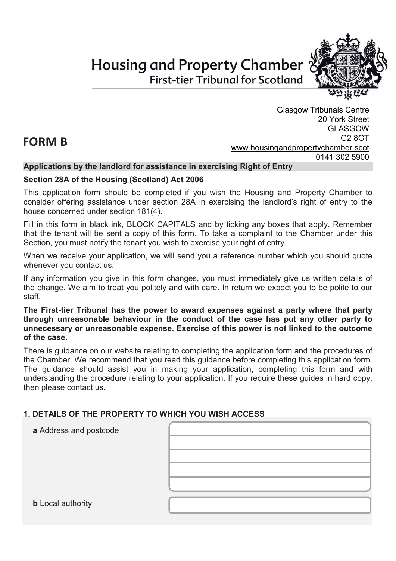# **Housing and Property Chamber First-tier Tribunal for Scotland**



Glasgow Tribunals Centre 20 York Street GLASGOW G2 8GT [www.housingandpropertychamber.scot](http://www.housingandpropertychamber.scot/) 0141 302 5900

#### **Applications by the landlord for assistance in exercising Right of Entry**

#### **Section 28A of the Housing (Scotland) Act 2006**

This application form should be completed if you wish the Housing and Property Chamber to consider offering assistance under section 28A in exercising the landlord's right of entry to the house concerned under section 181(4).

Fill in this form in black ink, BLOCK CAPITALS and by ticking any boxes that apply. Remember that the tenant will be sent a copy of this form. To take a complaint to the Chamber under this Section, you must notify the tenant you wish to exercise your right of entry.

When we receive your application, we will send you a reference number which you should quote whenever you contact us.

If any information you give in this form changes, you must immediately give us written details of the change. We aim to treat you politely and with care. In return we expect you to be polite to our staff.

**The First-tier Tribunal has the power to award expenses against a party where that party through unreasonable behaviour in the conduct of the case has put any other party to unnecessary or unreasonable expense. Exercise of this power is not linked to the outcome of the case.**

There is guidance on our website relating to completing the application form and the procedures of the Chamber. We recommend that you read this guidance before completing this application form. The guidance should assist you in making your application, completing this form and with understanding the procedure relating to your application. If you require these guides in hard copy, then please contact us.

#### **1. DETAILS OF THE PROPERTY TO WHICH YOU WISH ACCESS**

| a Address and postcode   |  |
|--------------------------|--|
|                          |  |
|                          |  |
|                          |  |
|                          |  |
| <b>b</b> Local authority |  |

## **FORM B**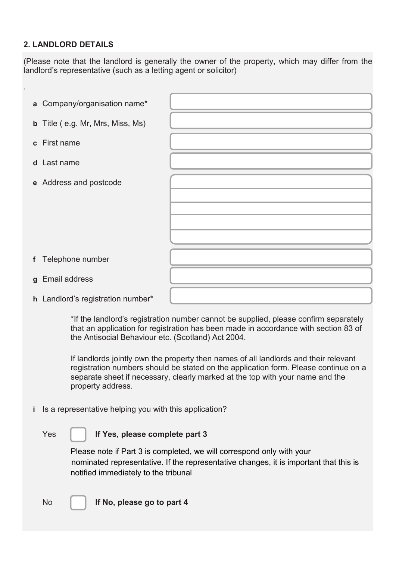#### **2. LANDLORD DETAILS**

.

(Please note that the landlord is generally the owner of the property, which may differ from the landlord's representative (such as a letting agent or solicitor)

| a Company/organisation name*            |  |
|-----------------------------------------|--|
| <b>b</b> Title (e.g. Mr, Mrs, Miss, Ms) |  |
| c First name                            |  |
| d Last name                             |  |
| e Address and postcode                  |  |
|                                         |  |
|                                         |  |
|                                         |  |
|                                         |  |
|                                         |  |
| f Telephone number                      |  |
| g Email address                         |  |
| h Landlord's registration number*       |  |

\*If the landlord's registration number cannot be supplied, please confirm separately that an application for registration has been made in accordance with section 83 of the Antisocial Behaviour etc. (Scotland) Act 2004.

If landlords jointly own the property then names of all landlords and their relevant registration numbers should be stated on the application form. Please continue on a separate sheet if necessary, clearly marked at the top with your name and the property address.

**i** Is a representative helping you with this application?

#### Yes **If Yes, please complete part 3**

Please note if Part 3 is completed, we will correspond only with your nominated representative. If the representative changes, it is important that this is notified immediately to the tribunal

No **If No, please go to part 4**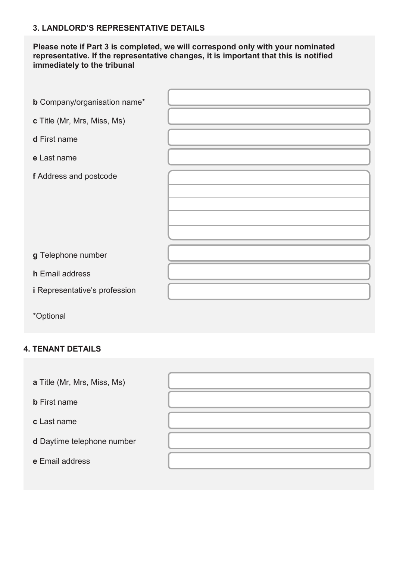## **3. LANDLORD'S REPRESENTATIVE DETAILS**

#### **Please note if Part 3 is completed, we will correspond only with your nominated representative. If the representative changes, it is important that this is notified immediately to the tribunal**

| <b>b</b> Company/organisation name*  |  |
|--------------------------------------|--|
|                                      |  |
| c Title (Mr, Mrs, Miss, Ms)          |  |
| d First name                         |  |
| e Last name                          |  |
| f Address and postcode               |  |
|                                      |  |
|                                      |  |
|                                      |  |
|                                      |  |
|                                      |  |
|                                      |  |
| g Telephone number                   |  |
| h Email address                      |  |
| <i>i</i> Representative's profession |  |

\*Optional

## **4. TENANT DETAILS**

**a** Title (Mr, Mrs, Miss, Ms)

**b** First name

**c** Last name

**d** Daytime telephone number

**e** Email address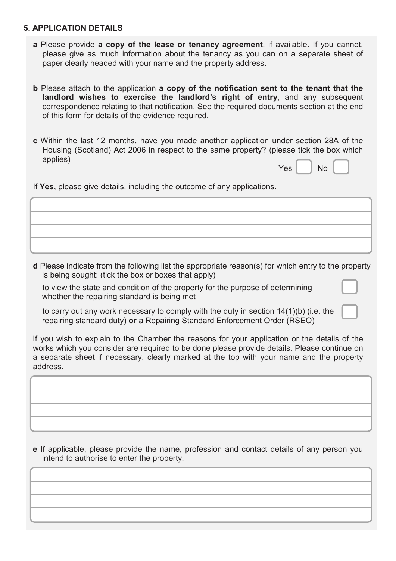#### **5. APPLICATION DETAILS**

and the property address.

- **a** Please provide **a copy of the lease or tenancy agreement**, if available. If you cannot, please give as much information about the tenancy as you can on a separate sheet of paper clearly headed with your name and the property address.
- **b** Please attach to the application **a copy of the notification sent to the tenant that the landlord wishes to exercise the landlord's right of entry**, and any subsequent correspondence relating to that notification. See the required documents section at the end of this form for details of the evidence required.
- **c** Within the last 12 months, have you made another application under section 28A of the Housing (Scotland) Act 2006 in respect to the same property? (please tick the box which applies)

| Yes |  | No |  |
|-----|--|----|--|
|-----|--|----|--|

If **Yes**, please give details, including the outcome of any applications.

**d** Please indicate from the following list the appropriate reason(s) for which entry to the property is being sought: (tick the box or boxes that apply)

Please continue on a separate sheet if necessary, clearly marked at the top with your name

to view the state and condition of the property for the purpose of determining whether the repairing standard is being met

to carry out any work necessary to comply with the duty in section 14(1)(b) (i.e. the repairing standard duty) **or** a Repairing Standard Enforcement Order (RSEO)

If you wish to explain to the Chamber the reasons for your application or the details of the works which you consider are required to be done please provide details. Please continue on a separate sheet if necessary, clearly marked at the top with your name and the property address.

**e** If applicable, please provide the name, profession and contact details of any person you intend to authorise to enter the property.